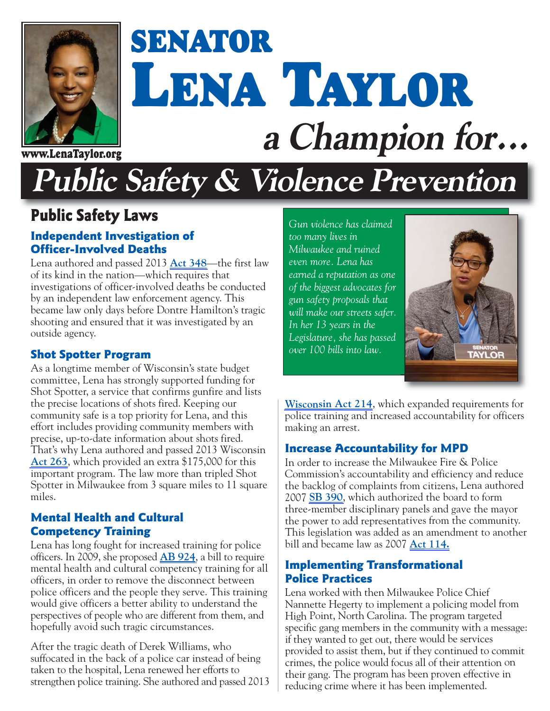

# **SENATOR LENA TAYLOR a Champion for... www.LenaTaylor.org**

## **Public Safety & Violence Prevention**

## **Public Safety Laws**

## **Independent Investigation of Officer-Involved Deaths**

Lena authored and passed 2013 **[Act 348](https://docs.legis.wisconsin.gov/2013/related/acts/348)**—the first law of its kind in the nation—which requires that investigations of officer-involved deaths be conducted by an independent law enforcement agency. This became law only days before Dontre Hamilton's tragic shooting and ensured that it was investigated by an outside agency.

## **Shot Spotter Program**

As a longtime member of Wisconsin's state budget committee, Lena has strongly supported funding for Shot Spotter, a service that confirms gunfire and lists the precise locations of shots fired. Keeping our community safe is a top priority for Lena, and this effort includes providing community members with precise, up-to-date information about shots fired. That's why Lena authored and passed 2013 Wisconsin **[Act 263](http://docs.legis.wisconsin.gov/2013/related/acts/263)**, which provided an extra \$175,000 for this important program. The law more than tripled Shot Spotter in Milwaukee from 3 square miles to 11 square miles.

#### **Mental Health and Cultural Competency Training**

Lena has long fought for increased training for police officers. In 2009, she proposed **[AB 924](http://docs.legis.wisconsin.gov/2009/related/proposals/ab924.pdf)**, a bill to require mental health and cultural competency training for all officers, in order to remove the disconnect between police officers and the people they serve. This training would give officers a better ability to understand the perspectives of people who are different from them, and hopefully avoid such tragic circumstances.

After the tragic death of Derek Williams, who suffocated in the back of a police car instead of being taken to the hospital, Lena renewed her efforts to strengthen police training. She authored and passed 2013 *Gun violence has claimed too many lives in Milwaukee and ruined even more. Lena has earned a reputation as one of the biggest advocates for gun safety proposals that will make our streets safer. In her 13 years in the Legislature, she has passed over 100 bills into law.*



**[Wisconsin Act 214](https://docs.legis.wisconsin.gov/2013/related/acts/214)**, which expanded requirements for police training and increased accountability for officers making an arrest.

## **Increase Accountability for MPD**

In order to increase the Milwaukee Fire & Police Commission's accountability and efficiency and reduce the backlog of complaints from citizens, Lena authored 2007 **[SB 390](http://docs.legis.wisconsin.gov/2007/proposals/sb390)**, which authorized the board to form three-member disciplinary panels and gave the mayor the power to add representatives from the community. This legislation was added as an amendment to another bill and became law as 2007 **[Act 114.](http://docs.legis.wisconsin.gov/2007/related/acts/114)**

#### **Implementing Transformational Police Practices**

Lena worked with then Milwaukee Police Chief Nannette Hegerty to implement a policing model from High Point, North Carolina. The program targeted specific gang members in the community with a message: if they wanted to get out, there would be services provided to assist them, but if they continued to commit crimes, the police would focus all of their attention on their gang. The program has been proven effective in reducing crime where it has been implemented.